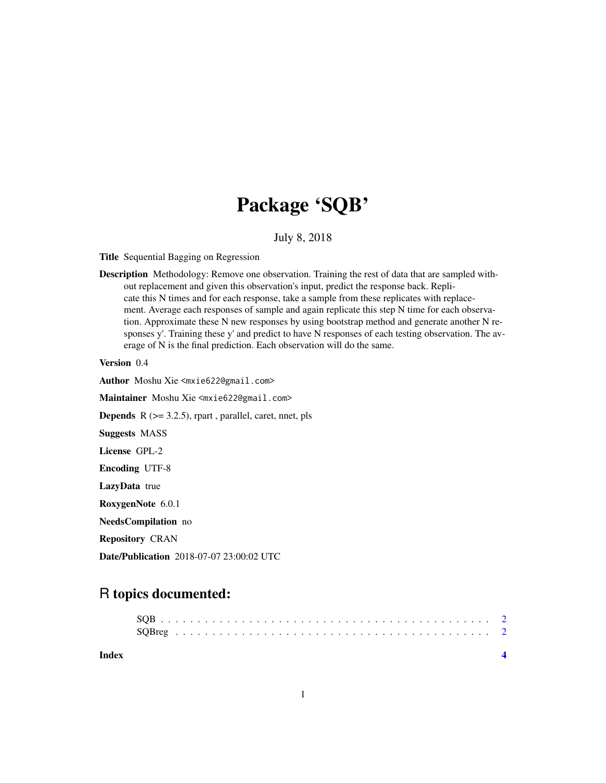# Package 'SQB'

July 8, 2018

Title Sequential Bagging on Regression

Description Methodology: Remove one observation. Training the rest of data that are sampled without replacement and given this observation's input, predict the response back. Replicate this N times and for each response, take a sample from these replicates with replacement. Average each responses of sample and again replicate this step N time for each observation. Approximate these N new responses by using bootstrap method and generate another N responses y'. Training these y' and predict to have N responses of each testing observation. The average of N is the final prediction. Each observation will do the same.

Version 0.4

Author Moshu Xie <mxie622@gmail.com>

Maintainer Moshu Xie <mxie622@gmail.com>

**Depends**  $R$  ( $>= 3.2.5$ ), rpart, parallel, caret, nnet, pls

Suggests MASS

License GPL-2

Encoding UTF-8

LazyData true

RoxygenNote 6.0.1

NeedsCompilation no

Repository CRAN

Date/Publication 2018-07-07 23:00:02 UTC

# R topics documented:

| Index |  |  |  |  |  |  |  |  |  |  |  |  |  |  |  |  |  |  |
|-------|--|--|--|--|--|--|--|--|--|--|--|--|--|--|--|--|--|--|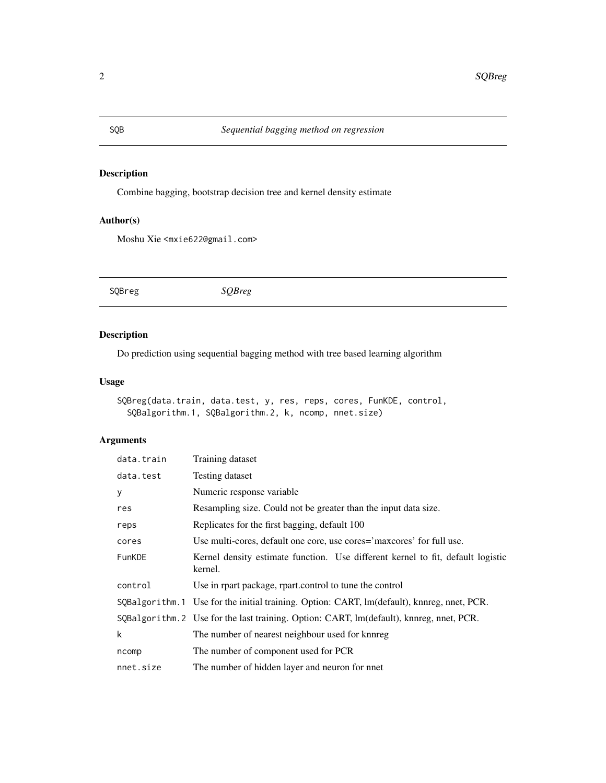# Description

Combine bagging, bootstrap decision tree and kernel density estimate

## Author(s)

Moshu Xie <mxie622@gmail.com>

SQBreg *SQBreg*

# Description

Do prediction using sequential bagging method with tree based learning algorithm

## Usage

```
SQBreg(data.train, data.test, y, res, reps, cores, FunKDE, control,
 SQBalgorithm.1, SQBalgorithm.2, k, ncomp, nnet.size)
```
# Arguments

| data.train    | Training dataset                                                                            |  |  |  |  |  |  |  |  |  |  |  |
|---------------|---------------------------------------------------------------------------------------------|--|--|--|--|--|--|--|--|--|--|--|
| data.test     | Testing dataset                                                                             |  |  |  |  |  |  |  |  |  |  |  |
| У             | Numeric response variable                                                                   |  |  |  |  |  |  |  |  |  |  |  |
| res           | Resampling size. Could not be greater than the input data size.                             |  |  |  |  |  |  |  |  |  |  |  |
| reps          | Replicates for the first bagging, default 100                                               |  |  |  |  |  |  |  |  |  |  |  |
| cores         | Use multi-cores, default one core, use cores='maxcores' for full use.                       |  |  |  |  |  |  |  |  |  |  |  |
| <b>FunKDE</b> | Kernel density estimate function. Use different kernel to fit, default logistic<br>kernel.  |  |  |  |  |  |  |  |  |  |  |  |
| control       | Use in rpart package, rpart.control to tune the control                                     |  |  |  |  |  |  |  |  |  |  |  |
|               | SQBalgorithm. 1 Use for the initial training. Option: CART, lm(default), knnreg, nnet, PCR. |  |  |  |  |  |  |  |  |  |  |  |
|               | SQBalgorithm. 2 Use for the last training. Option: CART, lm(default), knnreg, nnet, PCR.    |  |  |  |  |  |  |  |  |  |  |  |
| k             | The number of nearest neighbour used for knnreg                                             |  |  |  |  |  |  |  |  |  |  |  |
| ncomp         | The number of component used for PCR                                                        |  |  |  |  |  |  |  |  |  |  |  |
| nnet.size     | The number of hidden layer and neuron for nnet                                              |  |  |  |  |  |  |  |  |  |  |  |

<span id="page-1-0"></span>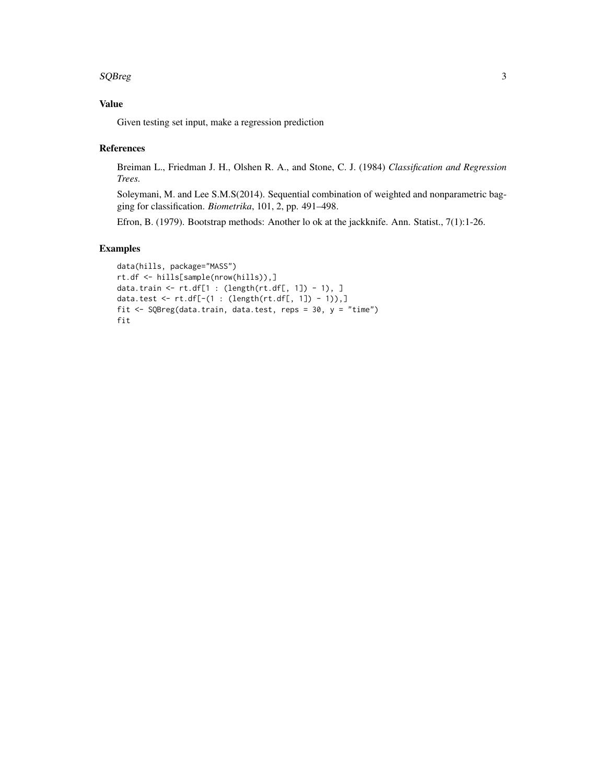#### $SQBreg$  3

# Value

Given testing set input, make a regression prediction

#### References

Breiman L., Friedman J. H., Olshen R. A., and Stone, C. J. (1984) *Classification and Regression Trees.*

Soleymani, M. and Lee S.M.S(2014). Sequential combination of weighted and nonparametric bagging for classification. *Biometrika*, 101, 2, pp. 491–498.

Efron, B. (1979). Bootstrap methods: Another lo ok at the jackknife. Ann. Statist., 7(1):1-26.

#### Examples

```
data(hills, package="MASS")
rt.df <- hills[sample(nrow(hills)),]
data.train <- rt.df[1 : (length(rt.df[, 1]) - 1), ]
data.test <- rt.df[-(1 : (length(rt.dff, 1]) - 1)),]fit <- SQBreg(data.train, data.test, reps = 30, y = "time")
fit
```